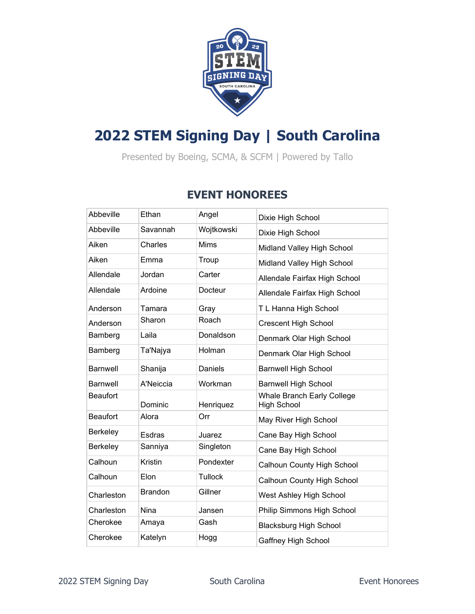

## **2022 STEM Signing Day | South Carolina**

Presented by Boeing, SCMA, & SCFM | Powered by Tallo

## **EVENT HONOREES**

| Abbeville       | Ethan          | Angel          | Dixie High School                                |
|-----------------|----------------|----------------|--------------------------------------------------|
| Abbeville       | Savannah       | Wojtkowski     | Dixie High School                                |
| Aiken           | Charles        | <b>Mims</b>    | Midland Valley High School                       |
| Aiken           | Emma           | Troup          | Midland Valley High School                       |
| Allendale       | Jordan         | Carter         | Allendale Fairfax High School                    |
| Allendale       | Ardoine        | Docteur        | Allendale Fairfax High School                    |
| Anderson        | Tamara         | Gray           | T L Hanna High School                            |
| Anderson        | Sharon         | Roach          | <b>Crescent High School</b>                      |
| Bamberg         | Laila          | Donaldson      | Denmark Olar High School                         |
| Bamberg         | Ta'Najya       | Holman         | Denmark Olar High School                         |
| Barnwell        | Shanija        | Daniels        | <b>Barnwell High School</b>                      |
| <b>Barnwell</b> | A'Neiccia      | Workman        | <b>Barnwell High School</b>                      |
| <b>Beaufort</b> | Dominic        | Henriquez      | Whale Branch Early College<br><b>High School</b> |
| <b>Beaufort</b> | Alora          | Orr            | May River High School                            |
| Berkeley        | <b>Esdras</b>  | Juarez         | Cane Bay High School                             |
| Berkeley        | Sanniya        | Singleton      | Cane Bay High School                             |
| Calhoun         | <b>Kristin</b> | Pondexter      | <b>Calhoun County High School</b>                |
| Calhoun         | Elon           | <b>Tullock</b> | Calhoun County High School                       |
| Charleston      | <b>Brandon</b> | Gillner        | West Ashley High School                          |
| Charleston      | <b>Nina</b>    | Jansen         | Philip Simmons High School                       |
| Cherokee        | Amaya          | Gash           | <b>Blacksburg High School</b>                    |
| Cherokee        | Katelyn        | Hogg           | Gaffney High School                              |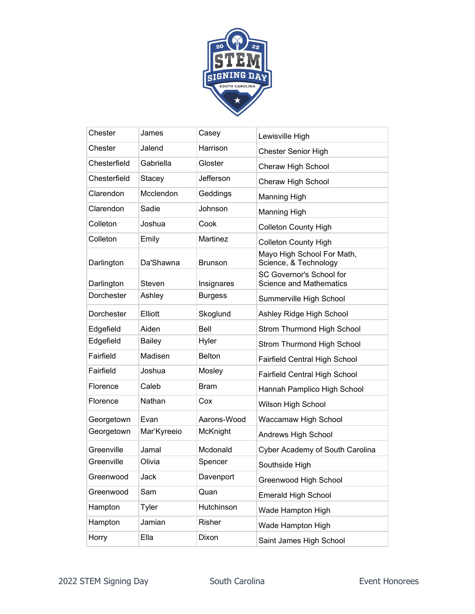

| Chester      | James         | Casey            | Lewisville High                                            |
|--------------|---------------|------------------|------------------------------------------------------------|
| Chester      | Jalend        | Harrison         | <b>Chester Senior High</b>                                 |
| Chesterfield | Gabriella     | Gloster          | Cheraw High School                                         |
| Chesterfield | Stacey        | <b>Jefferson</b> | Cheraw High School                                         |
| Clarendon    | Mcclendon     | Geddings         | <b>Manning High</b>                                        |
| Clarendon    | Sadie         | Johnson          | Manning High                                               |
| Colleton     | Joshua        | Cook             | <b>Colleton County High</b>                                |
| Colleton     | Emily         | Martinez         | <b>Colleton County High</b>                                |
| Darlington   | Da'Shawna     | <b>Brunson</b>   | Mayo High School For Math,<br>Science, & Technology        |
| Darlington   | Steven        | Insignares       | SC Governor's School for<br><b>Science and Mathematics</b> |
| Dorchester   | Ashley        | <b>Burgess</b>   | Summerville High School                                    |
| Dorchester   | Elliott       | Skoglund         | Ashley Ridge High School                                   |
| Edgefield    | Aiden         | Bell             | Strom Thurmond High School                                 |
| Edgefield    | <b>Bailey</b> | Hyler            | Strom Thurmond High School                                 |
| Fairfield    | Madisen       | <b>Belton</b>    | Fairfield Central High School                              |
| Fairfield    | Joshua        | Mosley           | Fairfield Central High School                              |
| Florence     | Caleb         | <b>Bram</b>      | Hannah Pamplico High School                                |
| Florence     | Nathan        | Cox              | Wilson High School                                         |
| Georgetown   | Evan          | Aarons-Wood      | Waccamaw High School                                       |
| Georgetown   | Mar'Kyreeio   | McKnight         | Andrews High School                                        |
| Greenville   | Jamal         | Mcdonald         | Cyber Academy of South Carolina                            |
| Greenville   | Olivia        | Spencer          | Southside High                                             |
| Greenwood    | Jack          | Davenport        | Greenwood High School                                      |
| Greenwood    | Sam           | Quan             | <b>Emerald High School</b>                                 |
| Hampton      | Tyler         | Hutchinson       | Wade Hampton High                                          |
| Hampton      | Jamian        | Risher           | Wade Hampton High                                          |
| Horry        | Ella          | Dixon            | Saint James High School                                    |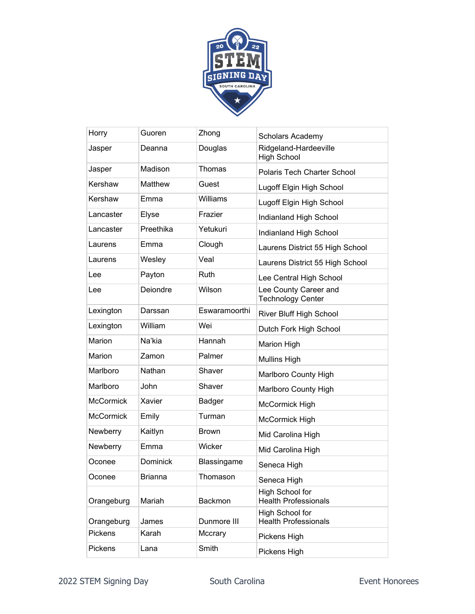

| Horry            | Guoren          | Zhong         | Scholars Academy                                  |
|------------------|-----------------|---------------|---------------------------------------------------|
| Jasper           | Deanna          | Douglas       | Ridgeland-Hardeeville<br><b>High School</b>       |
| Jasper           | Madison         | Thomas        | <b>Polaris Tech Charter School</b>                |
| Kershaw          | Matthew         | Guest         | Lugoff Elgin High School                          |
| Kershaw          | Emma            | Williams      | Lugoff Elgin High School                          |
| Lancaster        | Elyse           | Frazier       | Indianland High School                            |
| Lancaster        | Preethika       | Yetukuri      | Indianland High School                            |
| Laurens          | Emma            | Clough        | Laurens District 55 High School                   |
| Laurens          | Wesley          | Veal          | Laurens District 55 High School                   |
| Lee              | Payton          | Ruth          | Lee Central High School                           |
| Lee              | Deiondre        | Wilson        | Lee County Career and<br><b>Technology Center</b> |
| Lexington        | Darssan         | Eswaramoorthi | River Bluff High School                           |
| Lexington        | William         | Wei           | Dutch Fork High School                            |
| Marion           | Na'kia          | Hannah        | <b>Marion High</b>                                |
| Marion           | Zamon           | Palmer        | <b>Mullins High</b>                               |
| Marlboro         | Nathan          | Shaver        | Marlboro County High                              |
| Marlboro         | John            | Shaver        | Marlboro County High                              |
| <b>McCormick</b> | Xavier          | Badger        | McCormick High                                    |
| <b>McCormick</b> | Emily           | Turman        | McCormick High                                    |
| Newberry         | Kaitlyn         | Brown         | Mid Carolina High                                 |
| Newberry         | Emma            | Wicker        | Mid Carolina High                                 |
| Oconee           | <b>Dominick</b> | Blassingame   | Seneca High                                       |
| Oconee           | <b>Brianna</b>  | Thomason      | Seneca High                                       |
| Orangeburg       | Mariah          | Backmon       | High School for<br><b>Health Professionals</b>    |
| Orangeburg       | James           | Dunmore III   | High School for<br><b>Health Professionals</b>    |
| Pickens          | Karah           | Mccrary       | Pickens High                                      |
| Pickens          | Lana            | Smith         | Pickens High                                      |